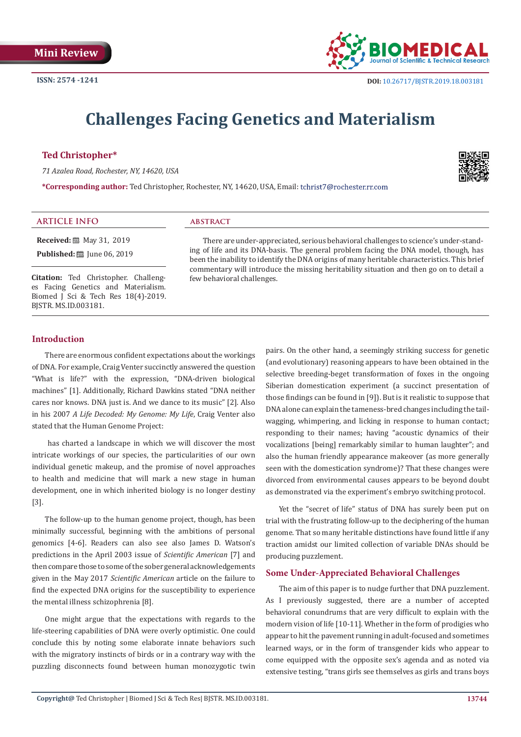

# **Challenges Facing Genetics and Materialism**

# **Ted Christopher\***

*71 Azalea Road, Rochester, NY, 14620, USA*

**\*Corresponding author:** Ted Christopher, Rochester, NY, 14620, USA, Email:



#### **ARTICLE INFO abstract**

**Received:** 圖 May 31, 2019 **Published:** ■ June 06, 2019

**Citation:** Ted Christopher. Challenges Facing Genetics and Materialism. Biomed J Sci & Tech Res 18(4)-2019. BJSTR. MS.ID.003181.

There are under-appreciated, serious behavioral challenges to science's under-standing of life and its DNA-basis. The general problem facing the DNA model, though, has been the inability to identify the DNA origins of many heritable characteristics. This brief commentary will introduce the missing heritability situation and then go on to detail a few behavioral challenges.

# **Introduction**

There are enormous confident expectations about the workings of DNA. For example, Craig Venter succinctly answered the question "What is life?" with the expression, "DNA-driven biological machines" [1]. Additionally, Richard Dawkins stated "DNA neither cares nor knows. DNA just is. And we dance to its music" [2]. Also in his 2007 *A Life Decoded: My Genome: My Life*, Craig Venter also stated that the Human Genome Project:

 has charted a landscape in which we will discover the most intricate workings of our species, the particularities of our own individual genetic makeup, and the promise of novel approaches to health and medicine that will mark a new stage in human development, one in which inherited biology is no longer destiny [3].

The follow-up to the human genome project, though, has been minimally successful, beginning with the ambitions of personal genomics [4-6]. Readers can also see also James D. Watson's predictions in the April 2003 issue of *Scientific American* [7] and then compare those to some of the sober general acknowledgements given in the May 2017 *Scientific American* article on the failure to find the expected DNA origins for the susceptibility to experience the mental illness schizophrenia [8].

One might argue that the expectations with regards to the life-steering capabilities of DNA were overly optimistic. One could conclude this by noting some elaborate innate behaviors such with the migratory instincts of birds or in a contrary way with the puzzling disconnects found between human monozygotic twin

pairs. On the other hand, a seemingly striking success for genetic (and evolutionary) reasoning appears to have been obtained in the selective breeding-beget transformation of foxes in the ongoing Siberian domestication experiment (a succinct presentation of those findings can be found in [9]). But is it realistic to suppose that DNA alone can explain the tameness-bred changes including the tailwagging, whimpering, and licking in response to human contact; responding to their names; having "acoustic dynamics of their vocalizations [being] remarkably similar to human laughter"; and also the human friendly appearance makeover (as more generally seen with the domestication syndrome)? That these changes were divorced from environmental causes appears to be beyond doubt as demonstrated via the experiment's embryo switching protocol.

Yet the "secret of life" status of DNA has surely been put on trial with the frustrating follow-up to the deciphering of the human genome. That so many heritable distinctions have found little if any traction amidst our limited collection of variable DNAs should be producing puzzlement.

#### **Some Under-Appreciated Behavioral Challenges**

The aim of this paper is to nudge further that DNA puzzlement. As I previously suggested, there are a number of accepted behavioral conundrums that are very difficult to explain with the modern vision of life [10-11]. Whether in the form of prodigies who appear to hit the pavement running in adult-focused and sometimes learned ways, or in the form of transgender kids who appear to come equipped with the opposite sex's agenda and as noted via extensive testing, "trans girls see themselves as girls and trans boys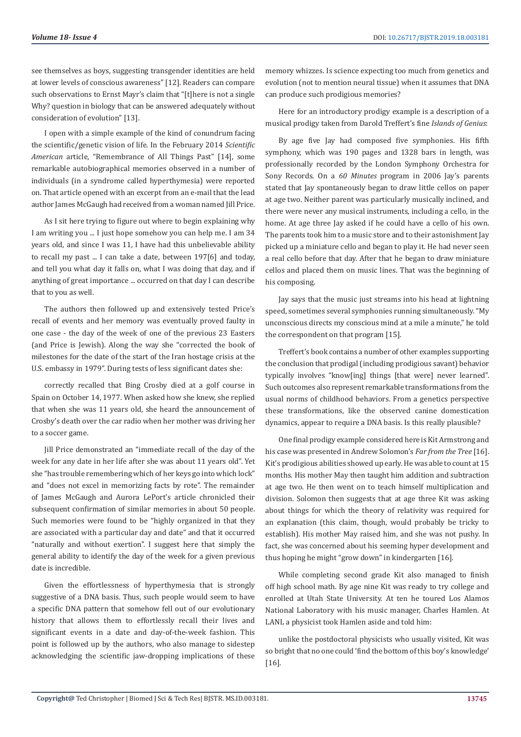see themselves as boys, suggesting transgender identities are held at lower levels of conscious awareness" [12]. Readers can compare such observations to Ernst Mayr's claim that "[t]here is not a single Why? question in biology that can be answered adequately without consideration of evolution" [13].

I open with a simple example of the kind of conundrum facing the scientific/genetic vision of life. In the February 2014 *Scientific American* article, "Remembrance of All Things Past" [14], some remarkable autobiographical memories observed in a number of individuals (in a syndrome called hyperthymesia) were reported on. That article opened with an excerpt from an e-mail that the lead author James McGaugh had received from a woman named Jill Price.

As I sit here trying to figure out where to begin explaining why I am writing you ... I just hope somehow you can help me. I am 34 years old, and since I was 11, I have had this unbelievable ability to recall my past ... I can take a date, between 197[6] and today, and tell you what day it falls on, what I was doing that day, and if anything of great importance ... occurred on that day I can describe that to you as well.

The authors then followed up and extensively tested Price's recall of events and her memory was eventually proved faulty in one case - the day of the week of one of the previous 23 Easters (and Price is Jewish). Along the way she "corrected the book of milestones for the date of the start of the Iran hostage crisis at the U.S. embassy in 1979". During tests of less significant dates she:

correctly recalled that Bing Crosby died at a golf course in Spain on October 14, 1977. When asked how she knew, she replied that when she was 11 years old, she heard the announcement of Crosby's death over the car radio when her mother was driving her to a soccer game.

Jill Price demonstrated an "immediate recall of the day of the week for any date in her life after she was about 11 years old". Yet she "has trouble remembering which of her keys go into which lock" and "does not excel in memorizing facts by rote". The remainder of James McGaugh and Aurora LePort's article chronicled their subsequent confirmation of similar memories in about 50 people. Such memories were found to be "highly organized in that they are associated with a particular day and date" and that it occurred "naturally and without exertion". I suggest here that simply the general ability to identify the day of the week for a given previous date is incredible.

Given the effortlessness of hyperthymesia that is strongly suggestive of a DNA basis. Thus, such people would seem to have a specific DNA pattern that somehow fell out of our evolutionary history that allows them to effortlessly recall their lives and significant events in a date and day-of-the-week fashion. This point is followed up by the authors, who also manage to sidestep acknowledging the scientific jaw-dropping implications of these memory whizzes. Is science expecting too much from genetics and evolution (not to mention neural tissue) when it assumes that DNA can produce such prodigious memories?

Here for an introductory prodigy example is a description of a musical prodigy taken from Darold Treffert's fine *Islands of Genius*:

By age five Jay had composed five symphonies. His fifth symphony, which was 190 pages and 1328 bars in length, was professionally recorded by the London Symphony Orchestra for Sony Records. On a *60 Minutes* program in 2006 Jay's parents stated that Jay spontaneously began to draw little cellos on paper at age two. Neither parent was particularly musically inclined, and there were never any musical instruments, including a cello, in the home. At age three Jay asked if he could have a cello of his own. The parents took him to a music store and to their astonishment Jay picked up a miniature cello and began to play it. He had never seen a real cello before that day. After that he began to draw miniature cellos and placed them on music lines. That was the beginning of his composing.

Jay says that the music just streams into his head at lightning speed, sometimes several symphonies running simultaneously. "My unconscious directs my conscious mind at a mile a minute," he told the correspondent on that program [15].

Treffert's book contains a number of other examples supporting the conclusion that prodigal (including prodigious savant) behavior typically involves "know[ing] things [that were] never learned". Such outcomes also represent remarkable transformations from the usual norms of childhood behaviors. From a genetics perspective these transformations, like the observed canine domestication dynamics, appear to require a DNA basis. Is this really plausible?

One final prodigy example considered here is Kit Armstrong and his case was presented in Andrew Solomon's *Far from the Tree* [16]. Kit's prodigious abilities showed up early. He was able to count at 15 months. His mother May then taught him addition and subtraction at age two. He then went on to teach himself multiplication and division. Solomon then suggests that at age three Kit was asking about things for which the theory of relativity was required for an explanation (this claim, though, would probably be tricky to establish). His mother May raised him, and she was not pushy. In fact, she was concerned about his seeming hyper development and thus hoping he might "grow down" in kindergarten [16].

While completing second grade Kit also managed to finish off high school math. By age nine Kit was ready to try college and enrolled at Utah State University. At ten he toured Los Alamos National Laboratory with his music manager, Charles Hamlen. At LANL a physicist took Hamlen aside and told him:

unlike the postdoctoral physicists who usually visited, Kit was so bright that no one could 'find the bottom of this boy's knowledge' [16].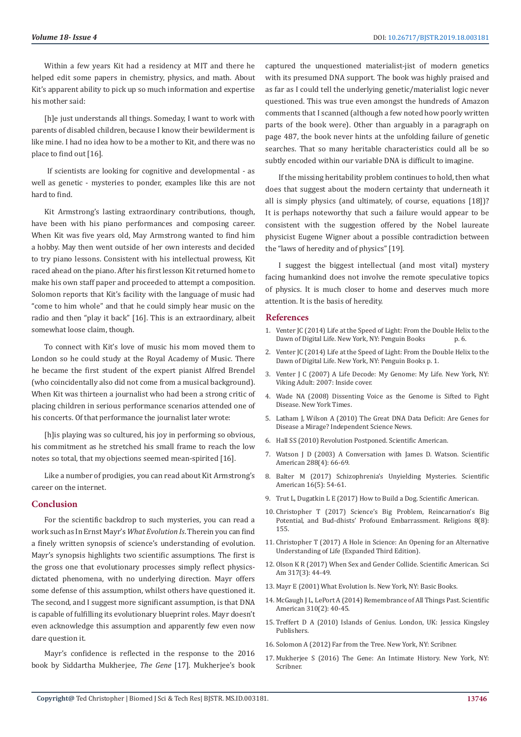Within a few years Kit had a residency at MIT and there he helped edit some papers in chemistry, physics, and math. About Kit's apparent ability to pick up so much information and expertise his mother said:

[h]e just understands all things. Someday, I want to work with parents of disabled children, because I know their bewilderment is like mine. I had no idea how to be a mother to Kit, and there was no place to find out [16].

 If scientists are looking for cognitive and developmental - as well as genetic - mysteries to ponder, examples like this are not hard to find.

Kit Armstrong's lasting extraordinary contributions, though, have been with his piano performances and composing career. When Kit was five years old, May Armstrong wanted to find him a hobby. May then went outside of her own interests and decided to try piano lessons. Consistent with his intellectual prowess, Kit raced ahead on the piano. After his first lesson Kit returned home to make his own staff paper and proceeded to attempt a composition. Solomon reports that Kit's facility with the language of music had "come to him whole" and that he could simply hear music on the radio and then "play it back" [16]. This is an extraordinary, albeit somewhat loose claim, though.

To connect with Kit's love of music his mom moved them to London so he could study at the Royal Academy of Music. There he became the first student of the expert pianist Alfred Brendel (who coincidentally also did not come from a musical background). When Kit was thirteen a journalist who had been a strong critic of placing children in serious performance scenarios attended one of his concerts. Of that performance the journalist later wrote:

[h] is playing was so cultured, his joy in performing so obvious, his commitment as he stretched his small frame to reach the low notes so total, that my objections seemed mean-spirited [16].

Like a number of prodigies, you can read about Kit Armstrong's career on the internet.

# **Conclusion**

For the scientific backdrop to such mysteries, you can read a work such as In Ernst Mayr's *What Evolution Is*. Therein you can find a finely written synopsis of science's understanding of evolution. Mayr's synopsis highlights two scientific assumptions. The first is the gross one that evolutionary processes simply reflect physicsdictated phenomena, with no underlying direction. Mayr offers some defense of this assumption, whilst others have questioned it. The second, and I suggest more significant assumption, is that DNA is capable of fulfilling its evolutionary blueprint roles. Mayr doesn't even acknowledge this assumption and apparently few even now dare question it.

Mayr's confidence is reflected in the response to the 2016 book by Siddartha Mukherjee, *The Gene* [17]. Mukherjee's book captured the unquestioned materialist-jist of modern genetics with its presumed DNA support. The book was highly praised and as far as I could tell the underlying genetic/materialist logic never questioned. This was true even amongst the hundreds of Amazon comments that I scanned (although a few noted how poorly written parts of the book were). Other than arguably in a paragraph on page 487, the book never hints at the unfolding failure of genetic searches. That so many heritable characteristics could all be so subtly encoded within our variable DNA is difficult to imagine.

If the missing heritability problem continues to hold, then what does that suggest about the modern certainty that underneath it all is simply physics (and ultimately, of course, equations [18])? It is perhaps noteworthy that such a failure would appear to be consistent with the suggestion offered by the Nobel laureate physicist Eugene Wigner about a possible contradiction between the "laws of heredity and of physics" [19].

I suggest the biggest intellectual (and most vital) mystery facing humankind does not involve the remote speculative topics of physics. It is much closer to home and deserves much more attention. It is the basis of heredity.

#### **References**

- 1. Venter JC (2014) Life at the Speed of Light: From the Double Helix to the Dawn of Digital Life. New York, NY: Penguin Books p. 6. Dawn of Digital Life. New York, NY: Penguin Books
- 2. Venter JC (2014) Life at the Speed of Light: From the Double Helix to the Dawn of Digital Life. New York, NY: Penguin Books p. 1.
- 3. [Venter J C \(2007\) A Life Decode: My Genome: My Life. New York, NY:](http://www.acad.bg/ebook/Venter,%20J.%20Craig%20-%20A%20Life%20Decoded%3B%20My%20Genome,%20My%20Life%20%28Viking%3B%202007%29.pdf) [Viking Adult: 2007: Inside cover.](http://www.acad.bg/ebook/Venter,%20J.%20Craig%20-%20A%20Life%20Decoded%3B%20My%20Genome,%20My%20Life%20%28Viking%3B%202007%29.pdf)
- 4. Wade NA (2008) Dissenting Voice as the Genome is Sifted to Fight Disease. New York Times.
- 5. [Latham J, Wilson A \(2010\) The Great DNA Data Deficit: Are Genes for](https://www.independentsciencenews.org/health/the-great-dna-data-deficit/) [Disease a Mirage? Independent Science News.](https://www.independentsciencenews.org/health/the-great-dna-data-deficit/)
- 6. [Hall SS \(2010\) Revolution Postponed. Scientific American.](https://europepmc.org/abstract/med/20923130)
- 7. Watson J D (2003) A Conversation with James D. Watson. Scientific American 288(4): 66-69.
- 8. [Balter M \(2017\) Schizophrenia's Unyielding Mysteries. Scientific](https://www.ncbi.nlm.nih.gov/pubmed/28437403) [American 16\(5\): 54-61.](https://www.ncbi.nlm.nih.gov/pubmed/28437403)
- 9. Trut L, Dugatkin L E (2017) How to Build a Dog. Scientific American.
- 10. [Christopher T \(2017\) Science's Big Problem, Reincarnation's Big](https://www.researchgate.net/publication/319225568_Science) [Potential, and Bud-dhists' Profound Embarrassment. Religions 8\(8\):](https://www.researchgate.net/publication/319225568_Science) [155.](https://www.researchgate.net/publication/319225568_Science)
- 11. [Christopher T \(2017\) A Hole in Science: An Opening for an Alternative](https://www.amazon.com/Hole-Science-Opening-Alternative-Understanding/dp/1629670693/%20.) [Understanding of Life \(Expanded Third Edition\).](https://www.amazon.com/Hole-Science-Opening-Alternative-Understanding/dp/1629670693/%20.)
- 12. [Olson K R \(2017\) When Sex and Gender Collide. Scientific American. Sci](https://www.ncbi.nlm.nih.gov/pubmed/28813404) [Am 317\(3\): 44-49.](https://www.ncbi.nlm.nih.gov/pubmed/28813404)
- 13. [Mayr E \(2001\) What Evolution Is. New York, NY: Basic Books.](https://www.worldcat.org/title/what-evolution-is/oclc/47443814)
- 14. [McGaugh J L, LePort A \(2014\) Remembrance of All Things Past. Scientific](https://www.researchgate.net/publication/260910963_Remembrance_of_All_Things_Past) [American 310\(2\): 40-45.](https://www.researchgate.net/publication/260910963_Remembrance_of_All_Things_Past)
- 15. [Treffert D A \(2010\) Islands of Genius. London, UK: Jessica Kingsley](https://psycnet.apa.org/record/2010-13072-000) [Publishers.](https://psycnet.apa.org/record/2010-13072-000)
- 16. [Solomon A \(2012\) Far from the Tree. New York, NY: Scribner.](http://andrewsolomon.com/books/far-from-the-tree/)
- 17. [Mukherjee S \(2016\) The Gene: An Intimate History. New York, NY:](https://www.nytimes.com/2016/05/15/books/review/the-gene-by-siddhartha-mukherjee.html) [Scribner.](https://www.nytimes.com/2016/05/15/books/review/the-gene-by-siddhartha-mukherjee.html)